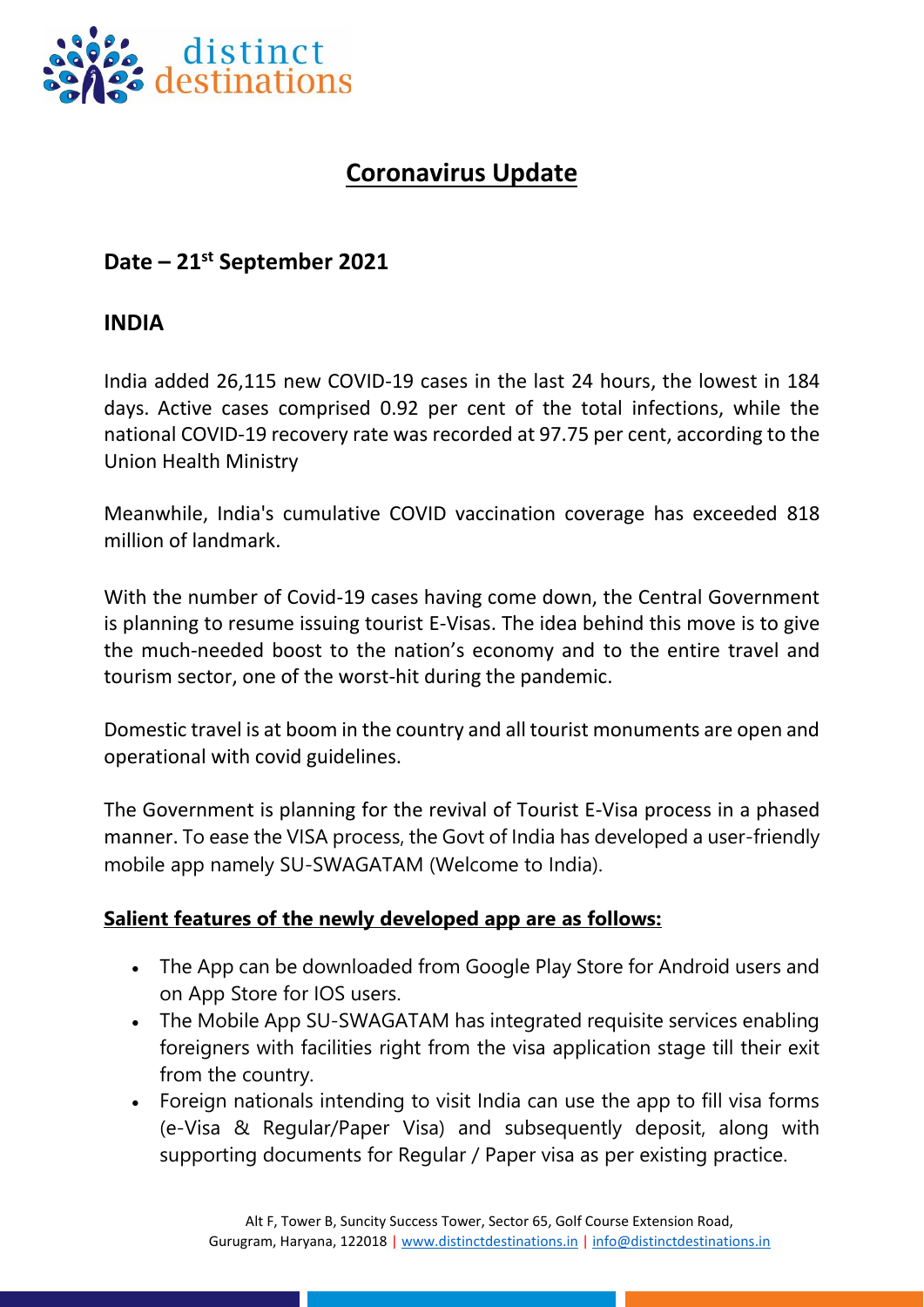

## **Coronavirus Update**

### **Date – 21st September 2021**

#### **INDIA**

India added 26,115 new COVID-19 cases in the last 24 hours, the lowest in 184 days. Active cases comprised 0.92 per cent of the total infections, while the national COVID-19 recovery rate was recorded at 97.75 per cent, according to the Union Health Ministry

Meanwhile, India's cumulative COVID vaccination coverage has exceeded 818 million of landmark.

With the number of Covid-19 cases having come down, the Central Government is planning to resume issuing tourist E-Visas. The idea behind this move is to give the much-needed boost to the nation's economy and to the entire travel and tourism sector, one of the worst-hit during the pandemic.

Domestic travel is at boom in the country and all tourist monuments are open and operational with covid guidelines.

The Government is planning for the revival of Tourist E-Visa process in a phased manner. To ease the VISA process, the Govt of India has developed a user-friendly mobile app namely SU-SWAGATAM (Welcome to India).

#### **Salient features of the newly developed app are as follows:**

- The App can be downloaded from Google Play Store for Android users and on App Store for IOS users.
- The Mobile App SU-SWAGATAM has integrated requisite services enabling foreigners with facilities right from the visa application stage till their exit from the country.
- Foreign nationals intending to visit India can use the app to fill visa forms (e-Visa & Regular/Paper Visa) and subsequently deposit, along with supporting documents for Regular / Paper visa as per existing practice.